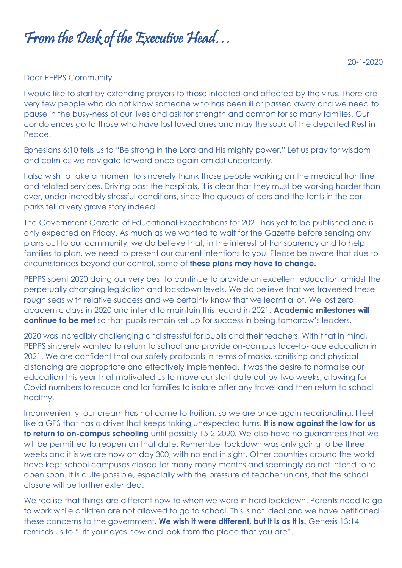## From the Desk of the Executive Head…

## Dear PEPPS Community

I would like to start by extending prayers to those infected and affected by the virus. There are very few people who do not know someone who has been ill or passed away and we need to pause in the busy-ness of our lives and ask for strength and comfort for so many families. Our condolences go to those who have lost loved ones and may the souls of the departed Rest in Peace.

Ephesians 6:10 tells us to "Be strong in the Lord and His mighty power." Let us pray for wisdom and calm as we navigate forward once again amidst uncertainty.

I also wish to take a moment to sincerely thank those people working on the medical frontline and related services. Driving past the hospitals, it is clear that they must be working harder than ever, under incredibly stressful conditions, since the queues of cars and the tents in the car parks tell a very grave story indeed.

The Government Gazette of Educational Expectations for 2021 has yet to be published and is only expected on Friday. As much as we wanted to wait for the Gazette before sending any plans out to our community, we do believe that, in the interest of transparency and to help families to plan, we need to present our current intentions to you. Please be aware that due to circumstances beyond our control, some of **these plans may have to change.**

PEPPS spent 2020 doing our very best to continue to provide an excellent education amidst the perpetually changing legislation and lockdown levels. We do believe that we traversed these rough seas with relative success and we certainly know that we learnt a lot. We lost zero academic days in 2020 and intend to maintain this record in 2021. **Academic milestones will continue to be met** so that pupils remain set up for success in being tomorrow's leaders.

2020 was incredibly challenging and stressful for pupils and their teachers. With that in mind, PEPPS sincerely wanted to return to school and provide on-campus face-to-face education in 2021. We are confident that our safety protocols in terms of masks, sanitising and physical distancing are appropriate and effectively implemented. It was the desire to normalise our education this year that motivated us to move our start date out by two weeks, allowing for Covid numbers to reduce and for families to isolate after any travel and then return to school healthy.

Inconveniently, our dream has not come to fruition, so we are once again recalibrating. I feel like a GPS that has a driver that keeps taking unexpected turns. **It is now against the law for us to return to on-campus schooling** until possibly 15-2-2020. We also have no guarantees that we will be permitted to reopen on that date. Remember lockdown was only going to be three weeks and it is we are now on day 300, with no end in sight. Other countries around the world have kept school campuses closed for many many months and seemingly do not intend to reopen soon. It is quite possible, especially with the pressure of teacher unions, that the school closure will be further extended.

We realise that things are different now to when we were in hard lockdown. Parents need to go to work while children are not allowed to go to school. This is not ideal and we have petitioned these concerns to the government. **We wish it were different, but it is as it is.** Genesis 13:14 reminds us to "Lift your eyes now and look from the place that you are".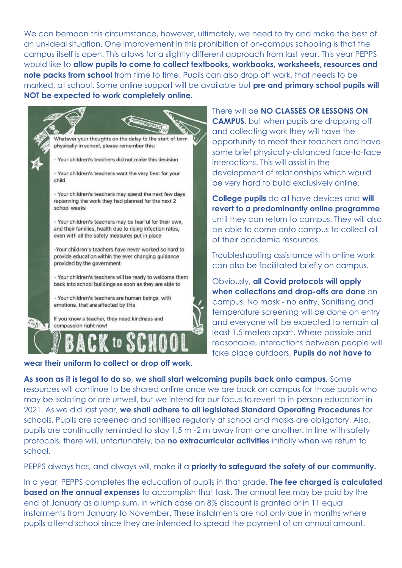We can bemoan this circumstance, however, ultimately, we need to try and make the best of an un-ideal situation. One improvement in this prohibition of on-campus schooling is that the campus itself is open. This allows for a slightly different approach from last year. This year PEPPS would like to **allow pupils to come to collect textbooks, workbooks, worksheets, resources and note packs from school** from time to time. Pupils can also drop off work, that needs to be marked, at school. Some online support will be available but **pre and primary school pupils will NOT be expected to work completely online.**



## **wear their uniform to collect or drop off work.**

There will be **NO CLASSES OR LESSONS ON CAMPUS**, but when pupils are dropping off and collecting work they will have the opportunity to meet their teachers and have some brief physically-distanced face-to-face interactions. This will assist in the development of relationships which would be very hard to build exclusively online.

**College pupils** do all have devices and **will revert to a predominantly online programme** until they can return to campus. They will also be able to come onto campus to collect all of their academic resources.

Troubleshooting assistance with online work can also be facilitated briefly on campus.

Obviously, **all Covid protocols will apply when collections and drop-offs are done** on campus. No mask - no entry. Sanitising and temperature screening will be done on entry and everyone will be expected to remain at least 1,5 meters apart. Where possible and reasonable, interactions between people will take place outdoors. **Pupils do not have to** 

**As soon as it is legal to do so, we shall start welcoming pupils back onto campus.** Some resources will continue to be shared online once we are back on campus for those pupils who may be isolating or are unwell, but we intend for our focus to revert to in-person education in 2021. As we did last year, **we shall adhere to all legislated Standard Operating Procedures** for schools. Pupils are screened and sanitised regularly at school and masks are obligatory. Also, pupils are continually reminded to stay 1,5 m -2 m away from one another. In line with safety protocols, there will, unfortunately, be **no extracurricular activities** initially when we return to school.

PEPPS always has, and always will, make it a **priority to safeguard the safety of our community.**

In a year, PEPPS completes the education of pupils in that grade. **The fee charged is calculated based on the annual expenses** to accomplish that task. The annual fee may be paid by the end of January as a lump sum, in which case an 8% discount is granted or in 11 equal instalments from January to November. These instalments are not only due in months where pupils attend school since they are intended to spread the payment of an annual amount.